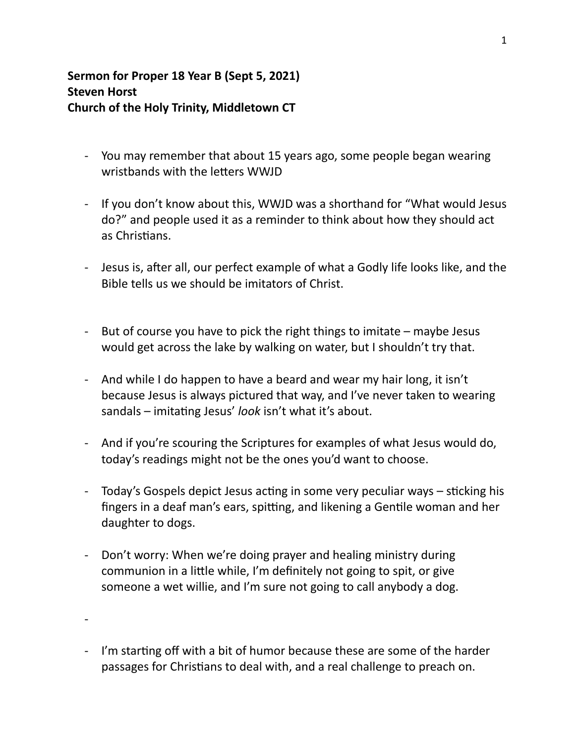## **Sermon for Proper 18 Year B (Sept 5, 2021) Steven Horst Church of the Holy Trinity, Middletown CT**

- You may remember that about 15 years ago, some people began wearing wristbands with the letters WWJD
- If you don't know about this, WWJD was a shorthand for "What would Jesus do?" and people used it as a reminder to think about how they should act as Christians.
- Jesus is, after all, our perfect example of what a Godly life looks like, and the Bible tells us we should be imitators of Christ.
- But of course you have to pick the right things to imitate  $-$  maybe Jesus would get across the lake by walking on water, but I shouldn't try that.
- And while I do happen to have a beard and wear my hair long, it isn't because Jesus is always pictured that way, and I've never taken to wearing sandals – imitating Jesus' look isn't what it's about.
- And if you're scouring the Scriptures for examples of what Jesus would do, today's readings might not be the ones you'd want to choose.
- Today's Gospels depict Jesus acting in some very peculiar ways sticking his fingers in a deaf man's ears, spitting, and likening a Gentile woman and her daughter to dogs.
- Don't worry: When we're doing prayer and healing ministry during communion in a little while, I'm definitely not going to spit, or give someone a wet willie, and I'm sure not going to call anybody a dog.

-

- I'm starting off with a bit of humor because these are some of the harder passages for Christians to deal with, and a real challenge to preach on.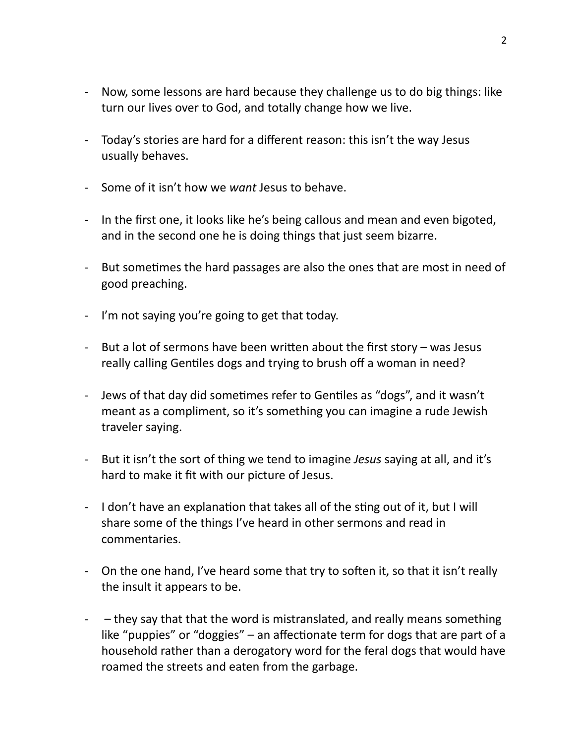- Now, some lessons are hard because they challenge us to do big things: like turn our lives over to God, and totally change how we live.
- Today's stories are hard for a different reason: this isn't the way Jesus usually behaves.
- Some of it isn't how we *want* Jesus to behave.
- In the first one, it looks like he's being callous and mean and even bigoted, and in the second one he is doing things that just seem bizarre.
- But sometimes the hard passages are also the ones that are most in need of good preaching.
- I'm not saying you're going to get that today.
- But a lot of sermons have been written about the first story  $-$  was Jesus really calling Gentiles dogs and trying to brush off a woman in need?
- Jews of that day did sometimes refer to Gentiles as "dogs", and it wasn't meant as a compliment, so it's something you can imagine a rude Jewish traveler saying.
- But it isn't the sort of thing we tend to imagine *Jesus* saying at all, and it's hard to make it fit with our picture of Jesus.
- I don't have an explanation that takes all of the sting out of it, but I will share some of the things I've heard in other sermons and read in commentaries.
- On the one hand, I've heard some that try to soften it, so that it isn't really the insult it appears to be.
- $-$  they say that that the word is mistranslated, and really means something like "puppies" or "doggies" – an affectionate term for dogs that are part of a household rather than a derogatory word for the feral dogs that would have roamed the streets and eaten from the garbage.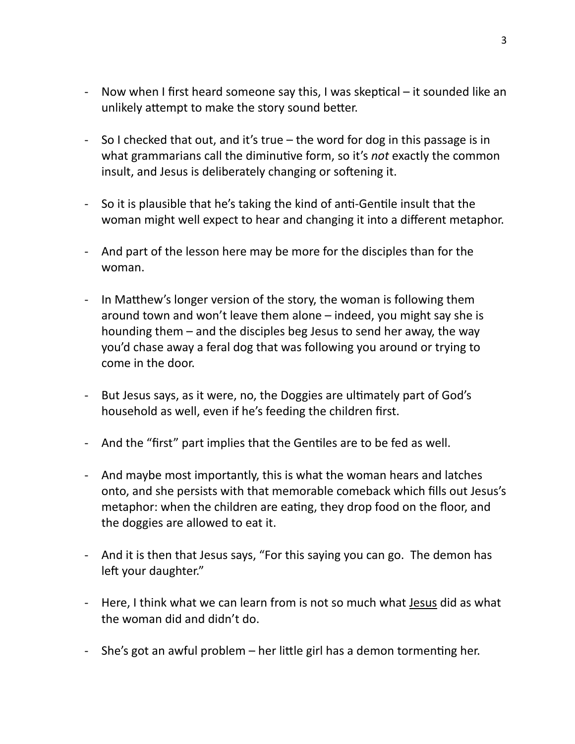- Now when I first heard someone say this, I was skeptical it sounded like an unlikely attempt to make the story sound better.
- So I checked that out, and it's true  $-$  the word for dog in this passage is in what grammarians call the diminutive form, so it's *not* exactly the common insult, and Jesus is deliberately changing or softening it.
- So it is plausible that he's taking the kind of anti-Gentile insult that the woman might well expect to hear and changing it into a different metaphor.
- And part of the lesson here may be more for the disciples than for the woman.
- In Matthew's longer version of the story, the woman is following them around town and won't leave them alone  $-$  indeed, you might say she is hounding them  $-$  and the disciples beg Jesus to send her away, the way you'd chase away a feral dog that was following you around or trying to come in the door.
- But Jesus says, as it were, no, the Doggies are ultimately part of God's household as well, even if he's feeding the children first.
- And the "first" part implies that the Gentiles are to be fed as well.
- And maybe most importantly, this is what the woman hears and latches onto, and she persists with that memorable comeback which fills out Jesus's metaphor: when the children are eating, they drop food on the floor, and the doggies are allowed to eat it.
- And it is then that Jesus says, "For this saying you can go. The demon has left your daughter."
- Here, I think what we can learn from is not so much what <u>Jesus</u> did as what the woman did and didn't do.
- She's got an awful problem  $-$  her little girl has a demon tormenting her.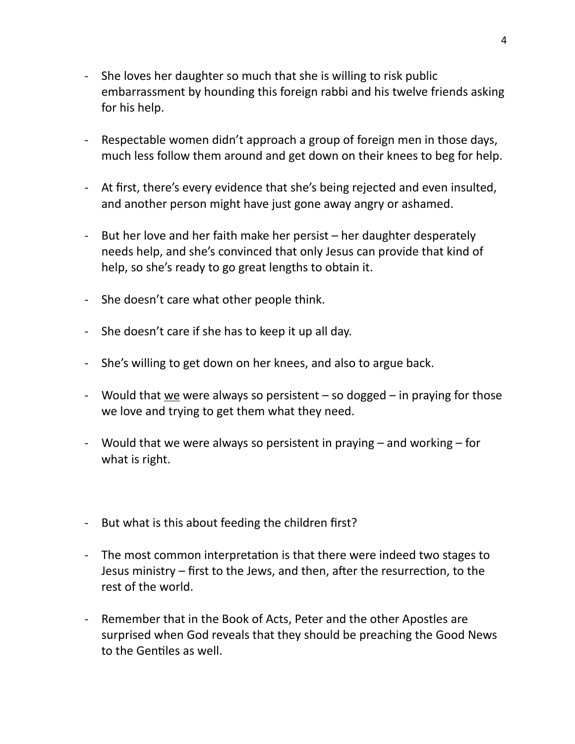- She loves her daughter so much that she is willing to risk public embarrassment by hounding this foreign rabbi and his twelve friends asking for his help.
- Respectable women didn't approach a group of foreign men in those days, much less follow them around and get down on their knees to beg for help.
- At first, there's every evidence that she's being rejected and even insulted, and another person might have just gone away angry or ashamed.
- But her love and her faith make her persist  $-$  her daughter desperately needs help, and she's convinced that only Jesus can provide that kind of help, so she's ready to go great lengths to obtain it.
- She doesn't care what other people think.
- She doesn't care if she has to keep it up all day.
- She's willing to get down on her knees, and also to argue back.
- Would that  $we$  were always so persistent  $-$  so dogged  $-$  in praying for those</u> we love and trying to get them what they need.
- Would that we were always so persistent in praying  $-$  and working  $-$  for what is right.
- But what is this about feeding the children first?
- The most common interpretation is that there were indeed two stages to Jesus ministry – first to the Jews, and then, after the resurrection, to the rest of the world.
- Remember that in the Book of Acts, Peter and the other Apostles are surprised when God reveals that they should be preaching the Good News to the Gentiles as well.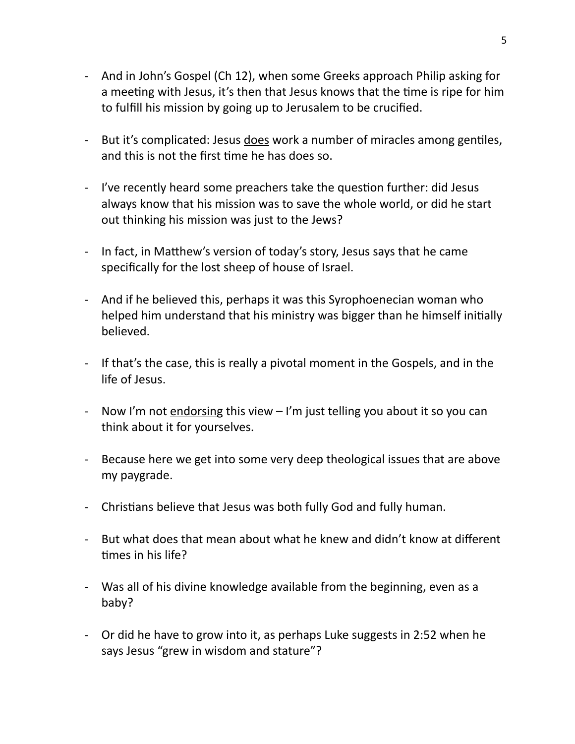- And in John's Gospel (Ch 12), when some Greeks approach Philip asking for a meeting with Jesus, it's then that Jesus knows that the time is ripe for him to fulfill his mission by going up to Jerusalem to be crucified.
- But it's complicated: Jesus does work a number of miracles among gentiles, and this is not the first time he has does so.
- I've recently heard some preachers take the question further: did Jesus always know that his mission was to save the whole world, or did he start out thinking his mission was just to the Jews?
- In fact, in Matthew's version of today's story, Jesus says that he came specifically for the lost sheep of house of Israel.
- And if he believed this, perhaps it was this Syrophoenecian woman who helped him understand that his ministry was bigger than he himself initially believed.
- If that's the case, this is really a pivotal moment in the Gospels, and in the life of Jesus.
- Now I'm not endorsing this view I'm just telling you about it so you can think about it for yourselves.
- Because here we get into some very deep theological issues that are above my paygrade.
- Christians believe that Jesus was both fully God and fully human.
- But what does that mean about what he knew and didn't know at different times in his life?
- Was all of his divine knowledge available from the beginning, even as a baby?
- Or did he have to grow into it, as perhaps Luke suggests in 2:52 when he says Jesus "grew in wisdom and stature"?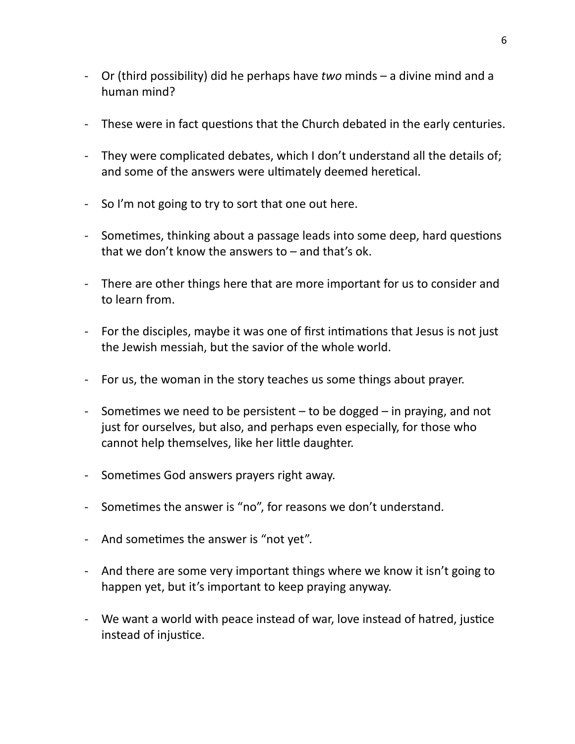- Or (third possibility) did he perhaps have *two* minds a divine mind and a human mind?
- These were in fact questions that the Church debated in the early centuries.
- They were complicated debates, which I don't understand all the details of; and some of the answers were ultimately deemed heretical.
- So I'm not going to try to sort that one out here.
- Sometimes, thinking about a passage leads into some deep, hard questions that we don't know the answers to  $-$  and that's ok.
- There are other things here that are more important for us to consider and to learn from.
- For the disciples, maybe it was one of first intimations that Jesus is not just the Jewish messiah, but the savior of the whole world.
- For us, the woman in the story teaches us some things about prayer.
- Sometimes we need to be persistent  $-$  to be dogged  $-$  in praying, and not just for ourselves, but also, and perhaps even especially, for those who cannot help themselves, like her little daughter.
- Sometimes God answers prayers right away.
- Sometimes the answer is "no", for reasons we don't understand.
- And sometimes the answer is "not yet".
- And there are some very important things where we know it isn't going to happen yet, but it's important to keep praying anyway.
- We want a world with peace instead of war, love instead of hatred, justice instead of injustice.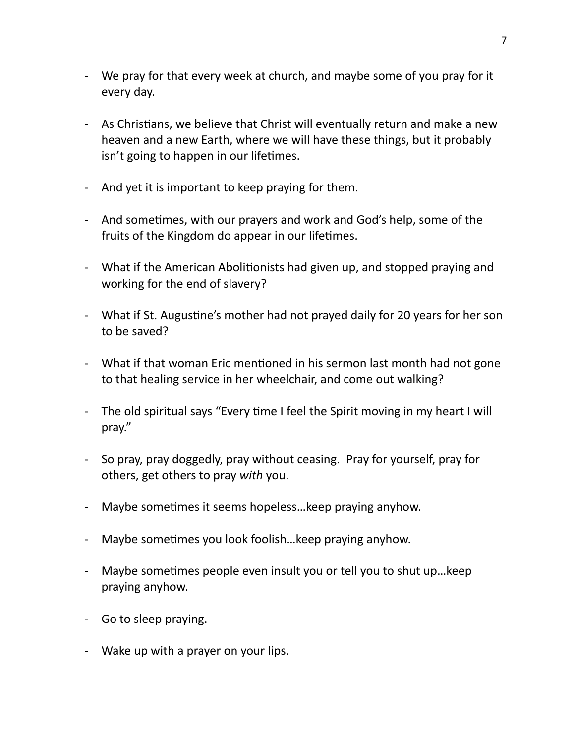- We pray for that every week at church, and maybe some of you pray for it every day.
- As Christians, we believe that Christ will eventually return and make a new heaven and a new Earth, where we will have these things, but it probably isn't going to happen in our lifetimes.
- And yet it is important to keep praying for them.
- And sometimes, with our prayers and work and God's help, some of the fruits of the Kingdom do appear in our lifetimes.
- What if the American Abolitionists had given up, and stopped praying and working for the end of slavery?
- What if St. Augustine's mother had not prayed daily for 20 years for her son to be saved?
- What if that woman Eric mentioned in his sermon last month had not gone to that healing service in her wheelchair, and come out walking?
- The old spiritual says "Every time I feel the Spirit moving in my heart I will pray."
- So pray, pray doggedly, pray without ceasing. Pray for yourself, pray for others, get others to pray *with* you.
- Maybe sometimes it seems hopeless...keep praying anyhow.
- Maybe sometimes you look foolish...keep praying anyhow.
- Maybe sometimes people even insult you or tell you to shut up... keep praying anyhow.
- Go to sleep praying.
- Wake up with a prayer on your lips.